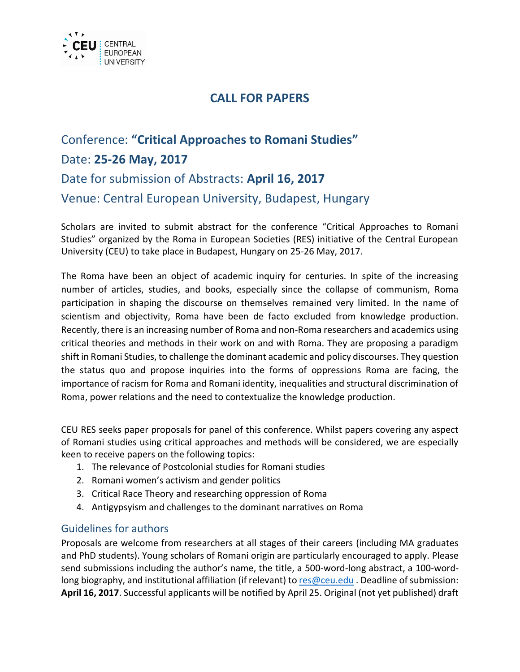

## **CALL FOR PAPERS**

## Conference: **"Critical Approaches to Romani Studies"** Date: **25-26 May, 2017** Date for submission of Abstracts: **April 16, 2017** Venue: Central European University, Budapest, Hungary

Scholars are invited to submit abstract for the conference "Critical Approaches to Romani Studies" organized by the Roma in European Societies (RES) initiative of the Central European University (CEU) to take place in Budapest, Hungary on 25-26 May, 2017.

The Roma have been an object of academic inquiry for centuries. In spite of the increasing number of articles, studies, and books, especially since the collapse of communism, Roma participation in shaping the discourse on themselves remained very limited. In the name of scientism and objectivity, Roma have been de facto excluded from knowledge production. Recently, there is an increasing number of Roma and non-Roma researchers and academics using critical theories and methods in their work on and with Roma. They are proposing a paradigm shift in Romani Studies, to challenge the dominant academic and policy discourses. They question the status quo and propose inquiries into the forms of oppressions Roma are facing, the importance of racism for Roma and Romani identity, inequalities and structural discrimination of Roma, power relations and the need to contextualize the knowledge production.

CEU RES seeks paper proposals for panel of this conference. Whilst papers covering any aspect of Romani studies using critical approaches and methods will be considered, we are especially keen to receive papers on the following topics:

- 1. The relevance of Postcolonial studies for Romani studies
- 2. Romani women's activism and gender politics
- 3. Critical Race Theory and researching oppression of Roma
- 4. Antigypsyism and challenges to the dominant narratives on Roma

## Guidelines for authors

Proposals are welcome from researchers at all stages of their careers (including MA graduates and PhD students). Young scholars of Romani origin are particularly encouraged to apply. Please send submissions including the author's name, the title, a 500-word-long abstract, a 100-wordlong biography, and institutional affiliation (if relevant) to [res@ceu.edu](mailto:res@ceu.edu) . Deadline of submission: **April 16, 2017**. Successful applicants will be notified by April 25. Original (not yet published) draft